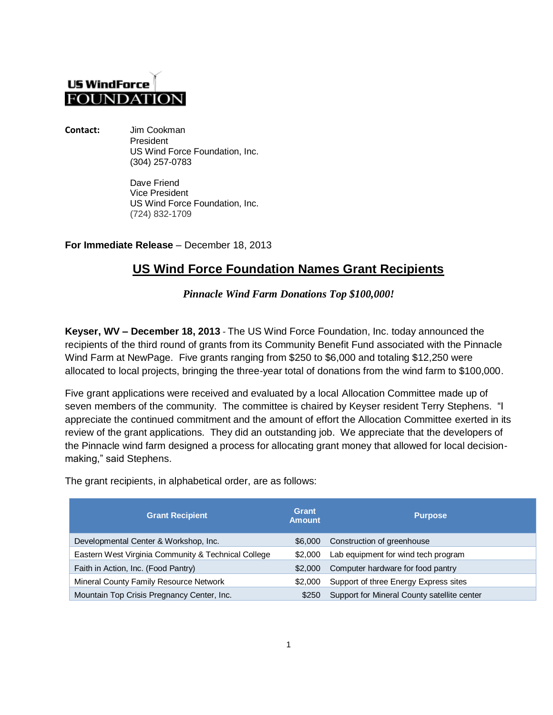## **US WindForce FOUNDATIO**

**Contact:** Jim Cookman President US Wind Force Foundation, Inc. (304) 257-0783

> Dave Friend Vice President US Wind Force Foundation, Inc. (724) 832-1709

**For Immediate Release** – December 18, 2013

## **US Wind Force Foundation Names Grant Recipients**

*Pinnacle Wind Farm Donations Top \$100,000!*

**Keyser, WV – December 18, 2013** - The US Wind Force Foundation, Inc. today announced the recipients of the third round of grants from its Community Benefit Fund associated with the Pinnacle Wind Farm at NewPage. Five grants ranging from \$250 to \$6,000 and totaling \$12,250 were allocated to local projects, bringing the three-year total of donations from the wind farm to \$100,000.

Five grant applications were received and evaluated by a local Allocation Committee made up of seven members of the community. The committee is chaired by Keyser resident Terry Stephens. "I appreciate the continued commitment and the amount of effort the Allocation Committee exerted in its review of the grant applications. They did an outstanding job. We appreciate that the developers of the Pinnacle wind farm designed a process for allocating grant money that allowed for local decisionmaking," said Stephens.

| <b>Grant Recipient</b>                              | Grant<br><b>Amount</b> | <b>Purpose</b>                              |
|-----------------------------------------------------|------------------------|---------------------------------------------|
| Developmental Center & Workshop, Inc.               | \$6,000                | Construction of greenhouse                  |
| Eastern West Virginia Community & Technical College | \$2,000                | Lab equipment for wind tech program         |
| Faith in Action, Inc. (Food Pantry)                 | \$2,000                | Computer hardware for food pantry           |
| Mineral County Family Resource Network              | \$2,000                | Support of three Energy Express sites       |
| Mountain Top Crisis Pregnancy Center, Inc.          | \$250                  | Support for Mineral County satellite center |

The grant recipients, in alphabetical order, are as follows: